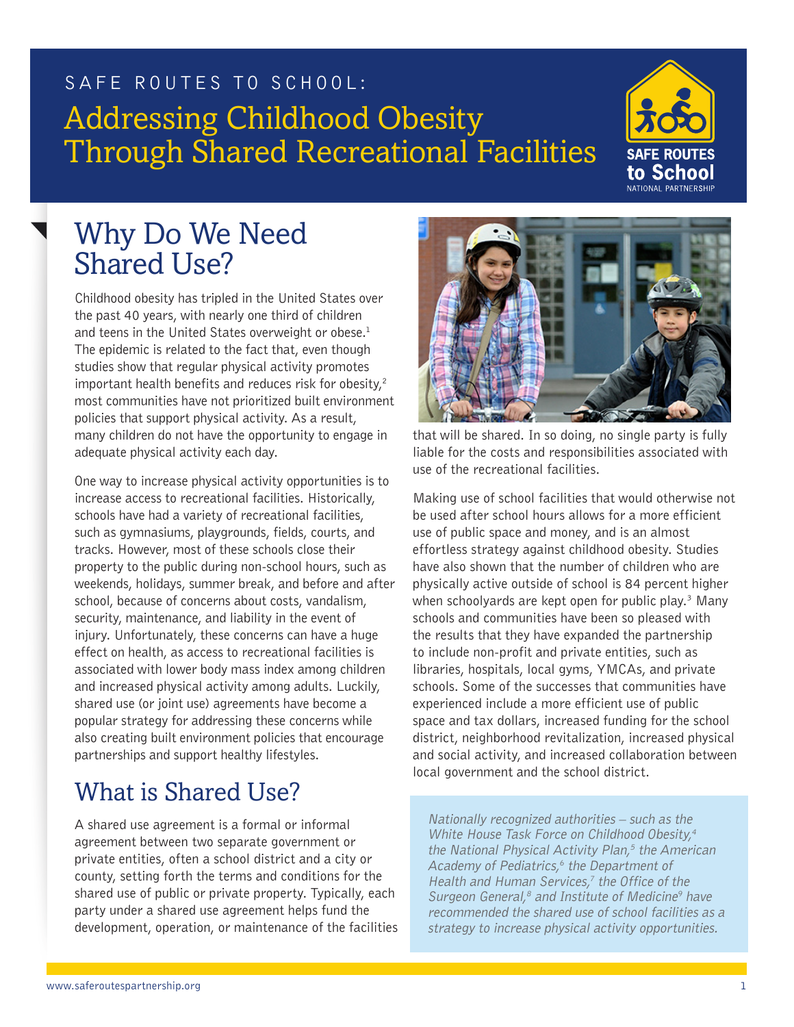# SAFE ROUTES TO SCHOOL: Addressing Childhood Obesity Through Shared Recreational Facilities



## Why Do We Need Shared Use?

Childhood obesity has tripled in the United States over the past 40 years, with nearly one third of children and teens in the United States overweight or obese.<sup>1</sup> The epidemic is related to the fact that, even though studies show that regular physical activity promotes important health benefits and reduces risk for obesity, $2$ most communities have not prioritized built environment policies that support physical activity. As a result, many children do not have the opportunity to engage in adequate physical activity each day.

One way to increase physical activity opportunities is to increase access to recreational facilities. Historically, schools have had a variety of recreational facilities, such as gymnasiums, playgrounds, fields, courts, and tracks. However, most of these schools close their property to the public during non-school hours, such as weekends, holidays, summer break, and before and after school, because of concerns about costs, vandalism, security, maintenance, and liability in the event of injury. Unfortunately, these concerns can have a huge effect on health, as access to recreational facilities is associated with lower body mass index among children and increased physical activity among adults. Luckily, shared use (or joint use) agreements have become a popular strategy for addressing these concerns while also creating built environment policies that encourage partnerships and support healthy lifestyles.

### What is Shared Use?

A shared use agreement is a formal or informal agreement between two separate government or private entities, often a school district and a city or county, setting forth the terms and conditions for the shared use of public or private property. Typically, each party under a shared use agreement helps fund the development, operation, or maintenance of the facilities



that will be shared. In so doing, no single party is fully liable for the costs and responsibilities associated with use of the recreational facilities.

Making use of school facilities that would otherwise not be used after school hours allows for a more efficient use of public space and money, and is an almost effortless strategy against childhood obesity. Studies have also shown that the number of children who are physically active outside of school is 84 percent higher when schoolyards are kept open for public play.<sup>3</sup> Many schools and communities have been so pleased with the results that they have expanded the partnership to include non-profit and private entities, such as libraries, hospitals, local gyms, YMCAs, and private schools. Some of the successes that communities have experienced include a more efficient use of public space and tax dollars, increased funding for the school district, neighborhood revitalization, increased physical and social activity, and increased collaboration between local government and the school district.

Nationally recognized authorities – such as the White House Task Force on Childhood Obesity,<sup>4</sup> the National Physical Activity Plan, $5$  the American Academy of Pediatrics,<sup>6</sup> the Department of Health and Human Services, $<sup>7</sup>$  the Office of the</sup> Surgeon General, $^8$  and Institute of Medicine $^9$  have recommended the shared use of school facilities as a strategy to increase physical activity opportunities.